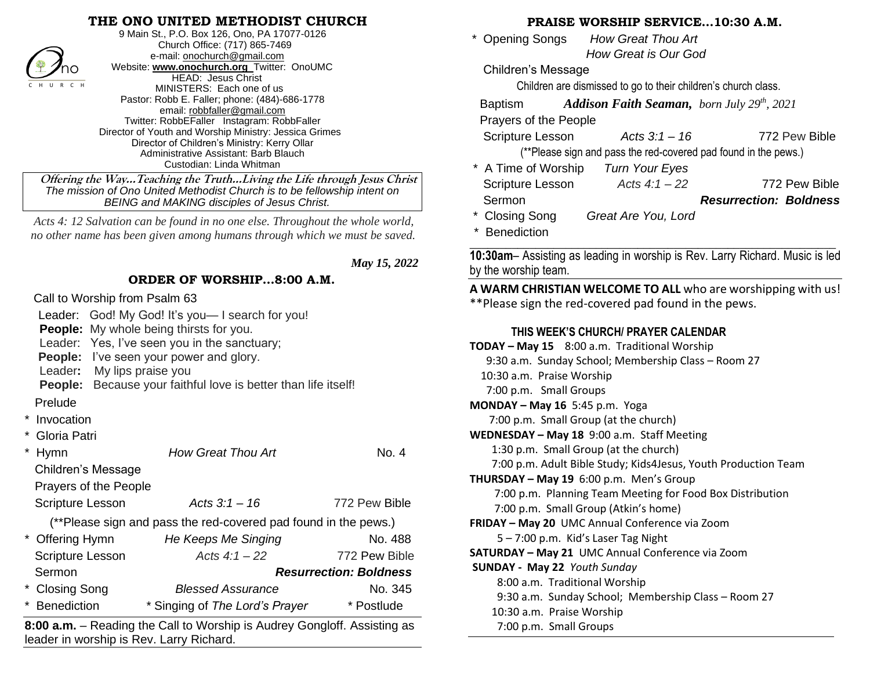#### **THE ONO UNITED METHODIST CHURCH**



9 Main St., P.O. Box 126, Ono, PA 17077-0126 Church Office: (717) 865-7469 e-mail[: onochurch@gmail.com](mailto:onochurch@gmail.com) Website: **[www.onochurch.org](http://www.onochurch.org/)** Twitter: OnoUMC HEAD: Jesus Christ MINISTERS: Each one of us Pastor: Robb E. Faller; phone: (484)-686-1778 email: [robbfaller@gmail.com](mailto:robbfaller@gmail.com) Twitter: RobbEFaller Instagram: RobbFaller Director of Youth and Worship Ministry: Jessica Grimes Director of Children's Ministry: Kerry Ollar Administrative Assistant: Barb Blauch Custodian: Linda Whitman

 **Offering the Way…Teaching the Truth…Living the Life through Jesus Christ** *The mission of Ono United Methodist Church is to be fellowship intent on BEING and MAKING disciples of Jesus Christ.* 

 *Acts 4: 12 Salvation can be found in no one else. Throughout the whole world, no other name has been given among humans through which we must be saved.*

 *May 15, 2022* 

#### **ORDER OF WORSHIP…8:00 A.M.**

Call to Worship from Psalm 63

Leader: God! My God! It's you-I search for you! **People:** My whole being thirsts for you. Leader: Yes, I've seen you in the sanctuary; **People:** I've seen your power and glory. Leader**:** My lips praise you **People:** Because your faithful love is better than life itself! Prelude **Invocation** Gloria Patri \* Hymn *How Great Thou Art* No. 4 Children's Message Prayers of the People Scripture Lesson *Acts 3:1 – 16* 772 Pew Bible (\*\*Please sign and pass the red-covered pad found in the pews.) \* Offering Hymn *He Keeps Me Singing* No. 488 Scripture Lesson *Acts 4:1 – 22* 772 Pew BibleSermon *Resurrection: Boldness*  \* Closing Song *Blessed Assurance* No. 345 \* Benediction \* Singing of *The Lord's Prayer* \* Postlude **8:00 a.m.** – Reading the Call to Worship is Audrey Gongloff. Assisting as leader in worship is Rev. Larry Richard.  The weekes weekes Easter phonosis of the United Research Conservation (Children's Message Presect Research Conservation (Children's Research Conservation and Children's Children's Children's conservation and the present R

### **PRAISE WORSHIP SERVICE…10:30 A.M.**

 \* Opening Songs *How Great Thou Art How Great is Our God* 

Children's Message

Children are dismissed to go to their children's church class.

Baptism *Addison Faith Seaman, born July 29th, 2021*

Prayers of the People

Scripture Lesson *Acts 3:1 – 16* 772 Pew Bible

(\*\*Please sign and pass the red-covered pad found in the pews.)

\* A Time of Worship *Turn Your Eyes* Scripture Lesson *Acts 4:1 – 22* 772 Pew Bible Sermon *Resurrection: Boldness*  \* Closing Song *Great Are You, Lord* 

\* Benediction

**\_\_\_\_\_\_\_\_\_\_\_\_\_\_\_\_\_\_\_\_\_\_\_\_\_\_\_\_\_\_\_\_\_\_\_\_\_\_\_\_\_\_\_\_\_\_\_\_\_\_\_\_\_\_\_\_\_\_\_\_\_ 10:30am**– Assisting as leading in worship is Rev. Larry Richard. Music is led by the worship team.

**A WARM CHRISTIAN WELCOME TO ALL** who are worshipping with us! \*\*Please sign the red-covered pad found in the pews.

## **THIS WEEK'S CHURCH/ PRAYER CALENDAR**

| <b>TODAY - May 15</b> 8:00 a.m. Traditional Worship            |
|----------------------------------------------------------------|
| 9:30 a.m. Sunday School; Membership Class - Room 27            |
| 10:30 a.m. Praise Worship                                      |
| 7:00 p.m. Small Groups                                         |
| MONDAY - May 16 5:45 p.m. Yoga                                 |
| 7:00 p.m. Small Group (at the church)                          |
| WEDNESDAY - May 18 9:00 a.m. Staff Meeting                     |
| 1:30 p.m. Small Group (at the church)                          |
| 7:00 p.m. Adult Bible Study; Kids4Jesus, Youth Production Team |
| <b>THURSDAY - May 19</b> 6:00 p.m. Men's Group                 |
| 7:00 p.m. Planning Team Meeting for Food Box Distribution      |
| 7:00 p.m. Small Group (Atkin's home)                           |
| <b>FRIDAY - May 20 UMC Annual Conference via Zoom</b>          |
| 5 - 7:00 p.m. Kid's Laser Tag Night                            |
| SATURDAY - May 21 UMC Annual Conference via Zoom               |
| <b>SUNDAY - May 22 Youth Sunday</b>                            |
| 8:00 a.m. Traditional Worship                                  |
| 9:30 a.m. Sunday School; Membership Class – Room 27            |
| 10:30 a.m. Praise Worship                                      |
| 7:00 p.m. Small Groups                                         |